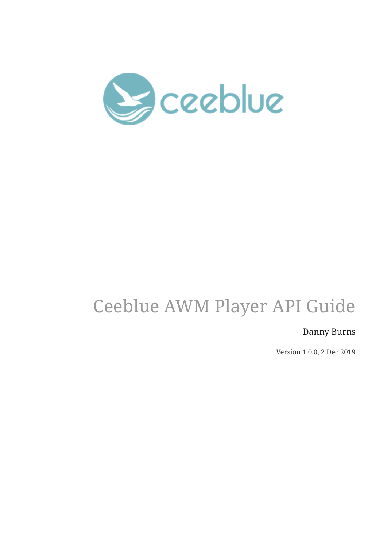

# Ceeblue AWM Player API Guide

Danny Burns

Version 1.0.0, 2 Dec 2019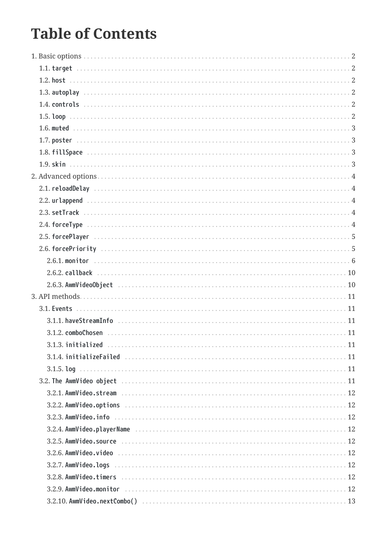# **Table of Contents**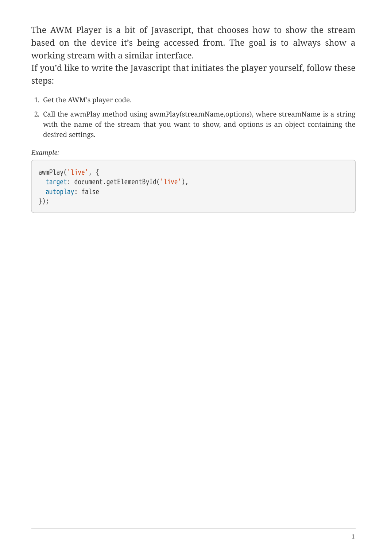The AWM Player is a bit of Javascript, that chooses how to show the stream based on the device it's being accessed from. The goal is to always show a working stream with a similar interface.

If you'd like to write the Javascript that initiates the player yourself, follow these steps:

- 1. Get the AWM's player code.
- 2. Call the awmPlay method using awmPlay(streamName,options), where streamName is a string with the name of the stream that you want to show, and options is an object containing the desired settings.

*Example:*

```
awmPlay('live', {
   target: document.getElementById('live'),
    autoplay: false
});
```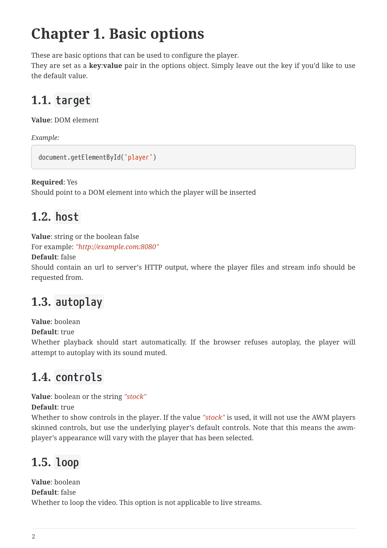# <span id="page-4-0"></span>**Chapter 1. Basic options**

These are basic options that can be used to configure the player.

They are set as a **key**:**value** pair in the options object. Simply leave out the key if you'd like to use the default value.

# <span id="page-4-1"></span>**1.1. target**

**Value**: DOM element

*Example:*

```
document.getElementById('player')
```
**Required**: Yes

Should point to a DOM element into which the player will be inserted

# <span id="page-4-2"></span>**1.2. host**

**Value**: string or the boolean false

For example: *"http://example.com:8080"*

**Default**: false

Should contain an url to server's HTTP output, where the player files and stream info should be requested from.

# <span id="page-4-3"></span>**1.3. autoplay**

**Value**: boolean

**Default**: true

Whether playback should start automatically. If the browser refuses autoplay, the player will attempt to autoplay with its sound muted.

# <span id="page-4-4"></span>**1.4. controls**

**Value**: boolean or the string *"stock"*

**Default**: true

Whether to show controls in the player. If the value *"stock"* is used, it will not use the AWM players skinned controls, but use the underlying player's default controls. Note that this means the awmplayer's appearance will vary with the player that has been selected.

# <span id="page-4-5"></span>**1.5. loop**

**Value**: boolean **Default**: false Whether to loop the video. This option is not applicable to live streams.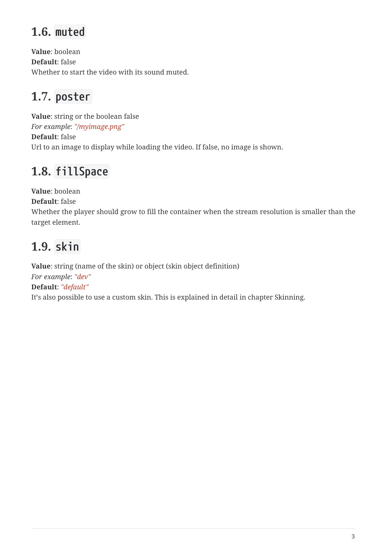# <span id="page-5-0"></span>**1.6. muted**

**Value**: boolean **Default**: false Whether to start the video with its sound muted.

# <span id="page-5-1"></span>**1.7. poster**

**Value**: string or the boolean false *For example*: *"/myimage.png"* **Default**: false Url to an image to display while loading the video. If false, no image is shown.

# <span id="page-5-2"></span>**1.8. fillSpace**

**Value**: boolean

**Default**: false

Whether the player should grow to fill the container when the stream resolution is smaller than the target element.

# <span id="page-5-3"></span>**1.9. skin**

**Value**: string (name of the skin) or object (skin object definition) *For example*: *"dev"* **Default**: *"default"* It's also possible to use a custom skin. This is explained in detail in chapter Skinning.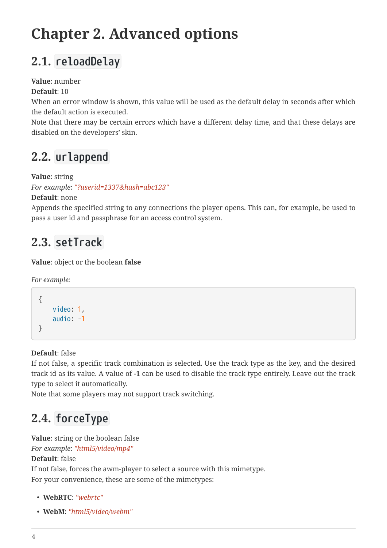# <span id="page-6-0"></span>**Chapter 2. Advanced options**

# <span id="page-6-1"></span>**2.1. reloadDelay**

### **Value**: number

**Default**: 10

When an error window is shown, this value will be used as the default delay in seconds after which the default action is executed.

Note that there may be certain errors which have a different delay time, and that these delays are disabled on the developers' skin.

# <span id="page-6-2"></span>**2.2. urlappend**

**Value**: string

*For example*: *"?userid=1337&hash=abc123"*

**Default**: none

Appends the specified string to any connections the player opens. This can, for example, be used to pass a user id and passphrase for an access control system.

# <span id="page-6-3"></span>**2.3. setTrack**

**Value**: object or the boolean **false**

*For example:*

```
{
       video: 1,
       audio: -1
}
```
**Default**: false

If not false, a specific track combination is selected. Use the track type as the key, and the desired track id as its value. A value of **-1** can be used to disable the track type entirely. Leave out the track type to select it automatically.

Note that some players may not support track switching.

# <span id="page-6-4"></span>**2.4. forceType**

**Value**: string or the boolean false

*For example*: *"html5/video/mp4"*

#### **Default**: false

If not false, forces the awm-player to select a source with this mimetype. For your convenience, these are some of the mimetypes:

- **WebRTC**: *"webrtc"*
- **WebM**: *"html5/video/webm"*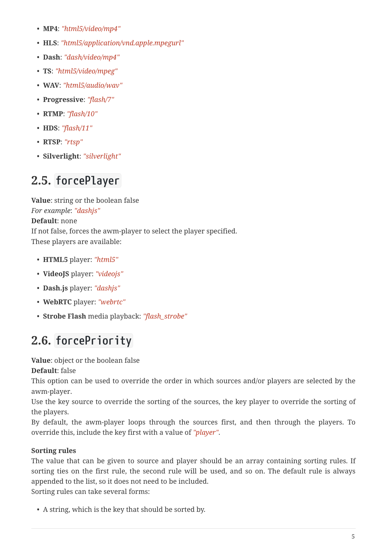- **MP4**: *"html5/video/mp4"*
- **HLS**: *"html5/application/vnd.apple.mpegurl"*
- **Dash**: *"dash/video/mp4"*
- **TS**: *"html5/video/mpeg"*
- **WAV**: *"html5/audio/wav"*
- **Progressive**: *"flash/7"*
- **RTMP**: *"flash/10"*
- **HDS**: *"flash/11"*
- **RTSP**: *"rtsp"*
- **Silverlight**: *"silverlight"*

# <span id="page-7-0"></span>**2.5. forcePlayer**

**Value**: string or the boolean false *For example*: *"dashjs"* **Default**: none If not false, forces the awm-player to select the player specified. These players are available:

- **HTML5** player: *"html5"*
- **VideoJS** player: *"videojs"*
- **Dash.js** player: *"dashjs"*
- **WebRTC** player: *"webrtc"*
- **Strobe Flash** media playback: *"flash\_strobe"*

# <span id="page-7-1"></span>**2.6. forcePriority**

**Value**: object or the boolean false

**Default**: false

This option can be used to override the order in which sources and/or players are selected by the awm-player.

Use the key source to override the sorting of the sources, the key player to override the sorting of the players.

By default, the awm-player loops through the sources first, and then through the players. To override this, include the key first with a value of *"player"*.

## **Sorting rules**

The value that can be given to source and player should be an array containing sorting rules. If sorting ties on the first rule, the second rule will be used, and so on. The default rule is always appended to the list, so it does not need to be included.

Sorting rules can take several forms:

• A string, which is the key that should be sorted by.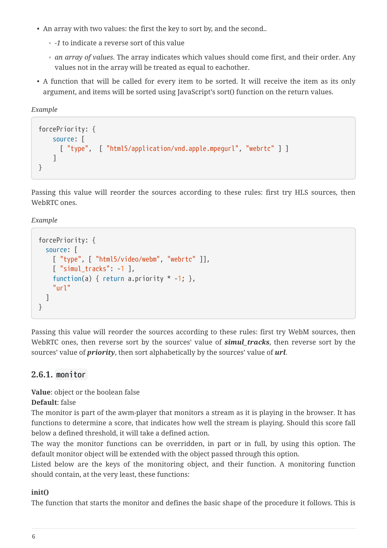- An array with two values: the first the key to sort by, and the second..
	- *-1* to indicate a reverse sort of this value
	- *an array of values*. The array indicates which values should come first, and their order. Any values not in the array will be treated as equal to eachother.
- A function that will be called for every item to be sorted. It will receive the item as its only argument, and items will be sorted using JavaScript's sort() function on the return values.

*Example*

```
forcePriority: {
      source: [
        [ "type", [ "html5/application/vnd.apple.mpegurl", "webrtc" ] ]
      ]
}
```
Passing this value will reorder the sources according to these rules: first try HLS sources, then WebRTC ones.

*Example*

```
forcePriority: {
    source: [
      [ "type", [ "html5/video/webm", "webrtc" ]],
    \lceil "simul tracks": -1 ],
    function(a) { return a.priority * -1; },
      "url"
    ]
}
```
Passing this value will reorder the sources according to these rules: first try WebM sources, then WebRTC ones, then reverse sort by the sources' value of **simul tracks**, then reverse sort by the sources' value of *priority*, then sort alphabetically by the sources' value of *url*.

### <span id="page-8-0"></span>**2.6.1. monitor**

**Value**: object or the boolean false

**Default**: false

The monitor is part of the awm-player that monitors a stream as it is playing in the browser. It has functions to determine a score, that indicates how well the stream is playing. Should this score fall below a defined threshold, it will take a defined action.

The way the monitor functions can be overridden, in part or in full, by using this option. The default monitor object will be extended with the object passed through this option.

Listed below are the keys of the monitoring object, and their function. A monitoring function should contain, at the very least, these functions:

#### **init()**

The function that starts the monitor and defines the basic shape of the procedure it follows. This is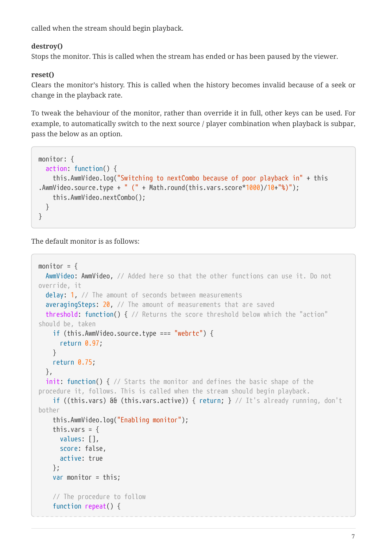called when the stream should begin playback.

#### **destroy()**

Stops the monitor. This is called when the stream has ended or has been paused by the viewer.

#### **reset()**

Clears the monitor's history. This is called when the history becomes invalid because of a seek or change in the playback rate.

To tweak the behaviour of the monitor, rather than override it in full, other keys can be used. For example, to automatically switch to the next source / player combination when playback is subpar, pass the below as an option.

```
monitor: {
   action: function() {
      this.AwmVideo.log("Switching to nextCombo because of poor playback in" + this
.AwmVideo.source.type + " (" + Math.round(this.vars.score*1000)/10+"%)");
      this.AwmVideo.nextCombo();
   }
}
```
The default monitor is as follows:

```
monitor = \{AwmVideo: AwmVideo, // Added here so that the other functions can use it. Do not
override, it
 delay: 1, // The amount of seconds between measurements
  averagingSteps: 20, // The amount of measurements that are saved
    threshold: function() { // Returns the score threshold below which the "action"
should be, taken
      if (this.AwmVideo.source.type === "webrtc") {
        return 0.97;
      }
     return 0.75;
   },
  init: function() { // Starts the monitor and defines the basic shape of the
procedure it, follows. This is called when the stream should begin playback.
      if ((this.vars) && (this.vars.active)) { return; } // It's already running, don't
bother
      this.AwmVideo.log("Enabling monitor");
    this.vars = \{  values: [],
        score: false,
        active: true
      };
      var monitor = this;
      // The procedure to follow
      function repeat() {
```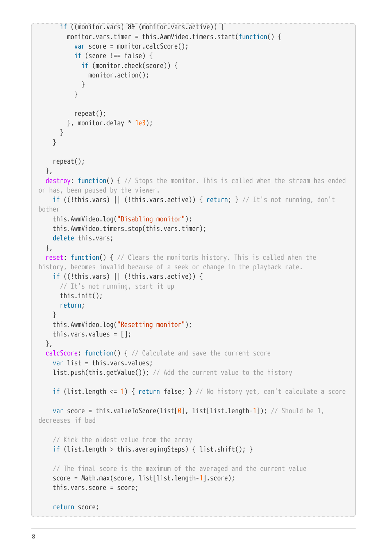```
  if ((monitor.vars) && (monitor.vars.active)) {
          monitor.vars.timer = this.AwmVideo.timers.start(function() {
            var score = monitor.calcScore();
          if (score != false) {
              if (monitor.check(score)) {
                monitor.action();
  }
            }
            repeat();
        \}, monitor.delay * 1e3);
        }
      }
      repeat();
    },
  destroy: function() { // Stops the monitor. This is called when the stream has ended
or has, been paused by the viewer.
      if ((!this.vars) || (!this.vars.active)) { return; } // It's not running, don't
bother
      this.AwmVideo.log("Disabling monitor");
      this.AwmVideo.timers.stop(this.vars.timer);
      delete this.vars;
    },
  reset: function() { // Clears the monitors history. This is called when the
history, becomes invalid because of a seek or change in the playback rate.
    if ((!this.vars) || (!this.vars.active)) {
        // It's not running, start it up
        this.init();
        return;
      }
      this.AwmVideo.log("Resetting monitor");
      this.vars.values = [];
    },
    calcScore: function() { // Calculate and save the current score
      var list = this.vars.values;
      list.push(this.getValue()); // Add the current value to the history
      if (list.length <= 1) { return false; } // No history yet, can't calculate a score
    var score = this.valueToScore(list[0], list[list.length-1]); // Should be 1,
decreases if bad
      // Kick the oldest value from the array
      if (list.length > this.averagingSteps) { list.shift(); }
      // The final score is the maximum of the averaged and the current value
      score = Math.max(score, list[list.length-1].score);
      this.vars.score = score;
      return score;
```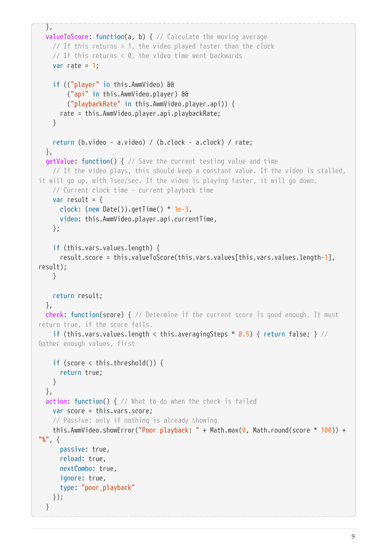```
  },
   valueToScore: function(a, b) { // Calculate the moving average
    // If this returns > 1, the video played faster than the clock
      // If this returns < 0, the video time went backwards
    var rate = 1;
      if (("player" in this.AwmVideo) &&
          ("api" in this.AwmVideo.player) &&
          ("playbackRate" in this.AwmVideo.player.api)) {
       rate = this.AwmVideo.player.api.playbackRate;
      }
      return (b.video - a.video) / (b.clock - a.clock) / rate;
   },
   getValue: function() { // Save the current testing value and time
      // If the video plays, this should keep a constant value. If the video is stalled,
it will go up, with 1sec/sec. If the video is playing faster, it will go down.
      // Current clock time - current playback time
    var result = \{  clock: (new Date()).getTime() * 1e-3,
        video: this.AwmVideo.player.api.currentTime,
     };
      if (this.vars.values.length) {
        result.score = this.valueToScore(this.vars.values[this.vars.values.length-1],
result);
     }
      return result;
   },
   check: function(score) { // Determine if the current score is good enough. It must
return true, if the score fails.
    if (this.vars.values.length < this.averagingSteps * 0.5) { return false; } //
Gather enough values, first
      if (score < this.threshold()) {
        return true;
     }
   },
 action: function() { // What to do when the check is failed
      var score = this.vars.score;
      // Passive: only if nothing is already showing
   this.AwmVideo.showError("Poor playback: " + Math.max(\theta, Math.round(score * 100)) +
"<sub>%</sub>", {
        passive: true,
        reload: true,
        nextCombo: true,
        ignore: true,
        type: "poor_playback"
     });
   }
```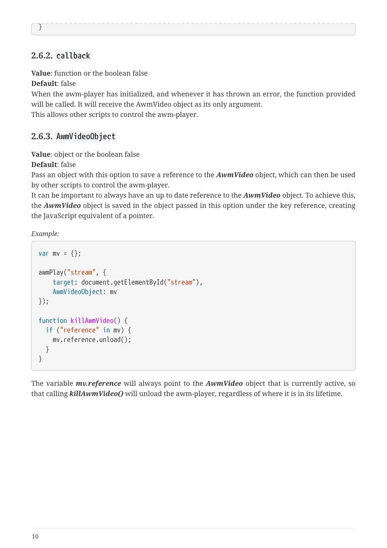#### }

### <span id="page-12-0"></span>**2.6.2. callback**

**Value**: function or the boolean false

**Default**: false

When the awm-player has initialized, and whenever it has thrown an error, the function provided will be called. It will receive the AwmVideo object as its only argument. This allows other scripts to control the awm-player.

#### <span id="page-12-1"></span>**2.6.3. AwmVideoObject**

**Value**: object or the boolean false

**Default**: false

Pass an object with this option to save a reference to the *AwmVideo* object, which can then be used by other scripts to control the awm-player.

It can be important to always have an up to date reference to the *AwmVideo* object. To achieve this, the *AwmVideo* object is saved in the object passed in this option under the key reference, creating the JavaScript equivalent of a pointer.

*Example:*

```
var mv = \{\};
awmPlay("stream", {
      target: document.getElementById("stream"),
      AwmVideoObject: mv
});
function killAwmVideo() {
    if ("reference" in mv) {
      mv.reference.unload();
    }
}
```
The variable *mv.reference* will always point to the *AwmVideo* object that is currently active, so that calling *killAwmVideo()* will unload the awm-player, regardless of where it is in its lifetime.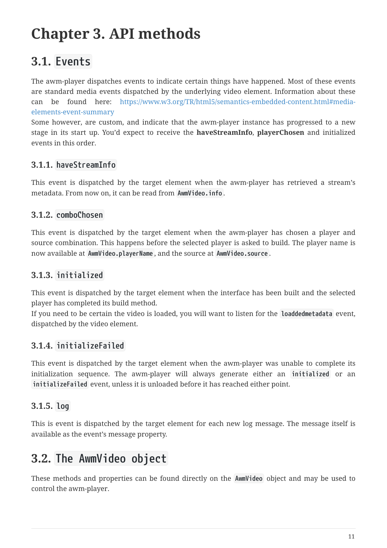# <span id="page-13-0"></span>**Chapter 3. API methods**

# <span id="page-13-1"></span>**3.1. Events**

The awm-player dispatches events to indicate certain things have happened. Most of these events are standard media events dispatched by the underlying video element. Information about these can be found here: [https://www.w3.org/TR/html5/semantics-embedded-content.html#media](https://www.w3.org/TR/html5/semantics-embedded-content.html#media-elements-event-summary)[elements-event-summary](https://www.w3.org/TR/html5/semantics-embedded-content.html#media-elements-event-summary)

Some however, are custom, and indicate that the awm-player instance has progressed to a new stage in its start up. You'd expect to receive the **haveStreamInfo**, **playerChosen** and initialized events in this order.

### <span id="page-13-2"></span>**3.1.1. haveStreamInfo**

This event is dispatched by the target element when the awm-player has retrieved a stream's metadata. From now on, it can be read from **AwmVideo.info** .

### <span id="page-13-3"></span>**3.1.2. comboChosen**

This event is dispatched by the target element when the awm-player has chosen a player and source combination. This happens before the selected player is asked to build. The player name is now available at **AwmVideo.playerName** , and the source at **AwmVideo.source** .

### <span id="page-13-4"></span>**3.1.3. initialized**

This event is dispatched by the target element when the interface has been built and the selected player has completed its build method.

If you need to be certain the video is loaded, you will want to listen for the **loaddedmetadata** event, dispatched by the video element.

## <span id="page-13-5"></span>**3.1.4. initializeFailed**

This event is dispatched by the target element when the awm-player was unable to complete its initialization sequence. The awm-player will always generate either an **initialized** or an **initializeFailed** event, unless it is unloaded before it has reached either point.

## <span id="page-13-6"></span>**3.1.5. log**

This is event is dispatched by the target element for each new log message. The message itself is available as the event's message property.

## <span id="page-13-7"></span>**3.2. The AwmVideo object**

These methods and properties can be found directly on the **AwmVideo** object and may be used to control the awm-player.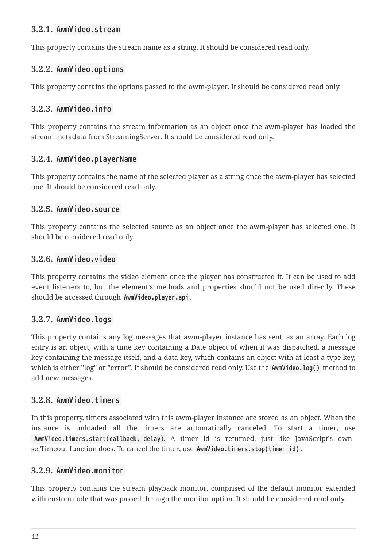#### <span id="page-14-0"></span>**3.2.1. AwmVideo.stream**

This property contains the stream name as a string. It should be considered read only.

### <span id="page-14-1"></span>**3.2.2. AwmVideo.options**

This property contains the options passed to the awm-player. It should be considered read only.

### <span id="page-14-2"></span>**3.2.3. AwmVideo.info**

This property contains the stream information as an object once the awm-player has loaded the stream metadata from StreamingServer. It should be considered read only.

#### <span id="page-14-3"></span>**3.2.4. AwmVideo.playerName**

This property contains the name of the selected player as a string once the awm-player has selected one. It should be considered read only.

#### <span id="page-14-4"></span>**3.2.5. AwmVideo.source**

This property contains the selected source as an object once the awm-player has selected one. It should be considered read only.

#### <span id="page-14-5"></span>**3.2.6. AwmVideo.video**

This property contains the video element once the player has constructed it. It can be used to add event listeners to, but the element's methods and properties should not be used directly. These should be accessed through **AwmVideo.player.api** .

### <span id="page-14-6"></span>**3.2.7. AwmVideo.logs**

This property contains any log messages that awm-player instance has sent, as an array. Each log entry is an object, with a time key containing a Date object of when it was dispatched, a message key containing the message itself, and a data key, which contains an object with at least a type key, which is either "log" or "error". It should be considered read only. Use the **AwmVideo.log()** method to add new messages.

#### <span id="page-14-7"></span>**3.2.8. AwmVideo.timers**

In this property, timers associated with this awm-player instance are stored as an object. When the instance is unloaded all the timers are automatically canceled. To start a timer, use **AwmVideo.timers.start(callback, delay)**. A timer id is returned, just like JavaScript's own setTimeout function does. To cancel the timer, use **AwmVideo.timers.stop(timer\_id)** .

#### <span id="page-14-8"></span>**3.2.9. AwmVideo.monitor**

This property contains the stream playback monitor, comprised of the default monitor extended with custom code that was passed through the monitor option. It should be considered read only.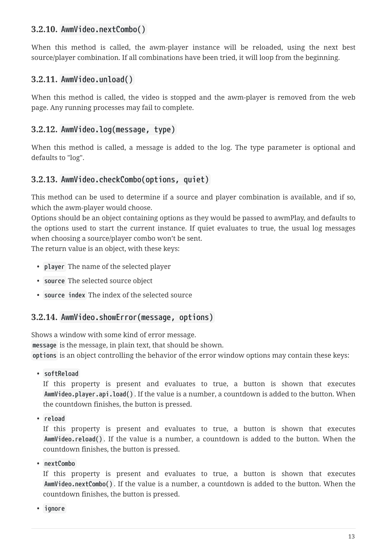#### <span id="page-15-0"></span>**3.2.10. AwmVideo.nextCombo()**

When this method is called, the awm-player instance will be reloaded, using the next best source/player combination. If all combinations have been tried, it will loop from the beginning.

### <span id="page-15-1"></span>**3.2.11. AwmVideo.unload()**

When this method is called, the video is stopped and the awm-player is removed from the web page. Any running processes may fail to complete.

### <span id="page-15-2"></span>**3.2.12. AwmVideo.log(message, type)**

When this method is called, a message is added to the log. The type parameter is optional and defaults to "log".

#### <span id="page-15-3"></span>**3.2.13. AwmVideo.checkCombo(options, quiet)**

This method can be used to determine if a source and player combination is available, and if so, which the awm-player would choose.

Options should be an object containing options as they would be passed to awmPlay, and defaults to the options used to start the current instance. If quiet evaluates to true, the usual log messages when choosing a source/player combo won't be sent.

The return value is an object, with these keys:

- **player** The name of the selected player
- **source** The selected source object
- **source index** The index of the selected source

#### <span id="page-15-4"></span>**3.2.14. AwmVideo.showError(message, options)**

Shows a window with some kind of error message.

**message** is the message, in plain text, that should be shown.

**options** is an object controlling the behavior of the error window options may contain these keys:

• **softReload**

If this property is present and evaluates to true, a button is shown that executes **AwmVideo.player.api.load()** . If the value is a number, a countdown is added to the button. When the countdown finishes, the button is pressed.

• **reload**

If this property is present and evaluates to true, a button is shown that executes **AwmVideo.reload()** . If the value is a number, a countdown is added to the button. When the countdown finishes, the button is pressed.

• **nextCombo**

If this property is present and evaluates to true, a button is shown that executes **AwmVideo.nextCombo()** . If the value is a number, a countdown is added to the button. When the countdown finishes, the button is pressed.

• **ignore**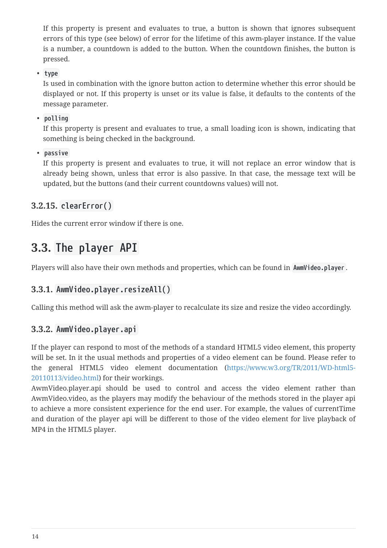If this property is present and evaluates to true, a button is shown that ignores subsequent errors of this type (see below) of error for the lifetime of this awm-player instance. If the value is a number, a countdown is added to the button. When the countdown finishes, the button is pressed.

• **type**

Is used in combination with the ignore button action to determine whether this error should be displayed or not. If this property is unset or its value is false, it defaults to the contents of the message parameter.

• **polling**

If this property is present and evaluates to true, a small loading icon is shown, indicating that something is being checked in the background.

• **passive**

If this property is present and evaluates to true, it will not replace an error window that is already being shown, unless that error is also passive. In that case, the message text will be updated, but the buttons (and their current countdowns values) will not.

### <span id="page-16-0"></span>**3.2.15. clearError()**

Hides the current error window if there is one.

# <span id="page-16-1"></span>**3.3. The player API**

Players will also have their own methods and properties, which can be found in **AwmVideo.player** .

### <span id="page-16-2"></span>**3.3.1. AwmVideo.player.resizeAll()**

Calling this method will ask the awm-player to recalculate its size and resize the video accordingly.

### <span id="page-16-3"></span>**3.3.2. AwmVideo.player.api**

If the player can respond to most of the methods of a standard HTML5 video element, this property will be set. In it the usual methods and properties of a video element can be found. Please refer to the general HTML5 video element documentation [\(https://www.w3.org/TR/2011/WD-html5-](https://www.w3.org/TR/2011/WD-html5-20110113/video.html) [20110113/video.html\)](https://www.w3.org/TR/2011/WD-html5-20110113/video.html) for their workings.

AwmVideo.player.api should be used to control and access the video element rather than AwmVideo.video, as the players may modify the behaviour of the methods stored in the player api to achieve a more consistent experience for the end user. For example, the values of currentTime and duration of the player api will be different to those of the video element for live playback of MP4 in the HTML5 player.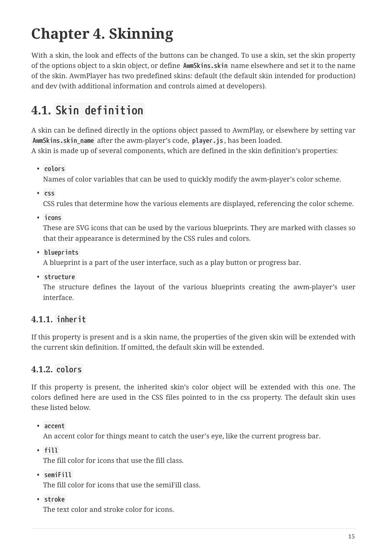# <span id="page-17-0"></span>**Chapter 4. Skinning**

With a skin, the look and effects of the buttons can be changed. To use a skin, set the skin property of the options object to a skin object, or define **AwmSkins.skin** name elsewhere and set it to the name of the skin. AwmPlayer has two predefined skins: default (the default skin intended for production) and dev (with additional information and controls aimed at developers).

# <span id="page-17-1"></span>**4.1. Skin definition**

A skin can be defined directly in the options object passed to AwmPlay, or elsewhere by setting var **AwmSkins.skin\_name** after the awm-player's code, **player.js** , has been loaded. A skin is made up of several components, which are defined in the skin definition's properties:

• **colors**

Names of color variables that can be used to quickly modify the awm-player's color scheme.

• **css**

CSS rules that determine how the various elements are displayed, referencing the color scheme.

• **icons**

These are SVG icons that can be used by the various blueprints. They are marked with classes so that their appearance is determined by the CSS rules and colors.

• **blueprints**

A blueprint is a part of the user interface, such as a play button or progress bar.

• **structure**

The structure defines the layout of the various blueprints creating the awm-player's user interface.

### <span id="page-17-2"></span>**4.1.1. inherit**

If this property is present and is a skin name, the properties of the given skin will be extended with the current skin definition. If omitted, the default skin will be extended.

### <span id="page-17-3"></span>**4.1.2. colors**

If this property is present, the inherited skin's color object will be extended with this one. The colors defined here are used in the CSS files pointed to in the css property. The default skin uses these listed below.

• **accent**

An accent color for things meant to catch the user's eye, like the current progress bar.

• **fill**

The fill color for icons that use the fill class.

• **semiFill**

The fill color for icons that use the semiFill class.

• **stroke**

The text color and stroke color for icons.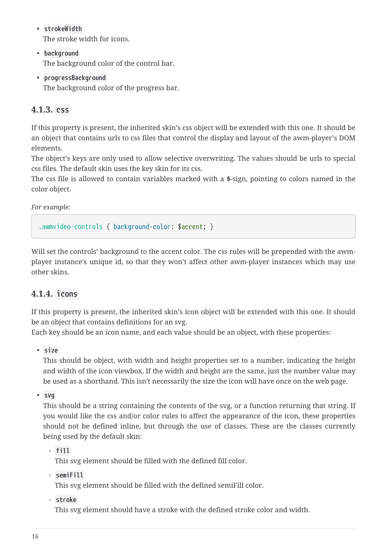#### • **strokeWidth**

The stroke width for icons.

- **background** The background color of the control bar.
- **progressBackground**

The background color of the progress bar.

### <span id="page-18-0"></span>**4.1.3. css**

If this property is present, the inherited skin's css object will be extended with this one. It should be an object that contains urls to css files that control the display and layout of the awm-player's DOM elements.

The object's keys are only used to allow selective overwriting. The values should be urls to special css files. The default skin uses the key skin for its css.

The css file is allowed to contain variables marked with a **\$**-sign, pointing to colors named in the color object.

*For example:*

.awmvideo-controls { background-color: \$accent; }

Will set the controls' background to the accent color. The css rules will be prepended with the awmplayer instance's unique id, so that they won't affect other awm-player instances which may use other skins.

### <span id="page-18-1"></span>**4.1.4. icons**

If this property is present, the inherited skin's icon object will be extended with this one. It should be an object that contains definitions for an svg.

Each key should be an icon name, and each value should be an object, with these properties:

• **size**

This should be object, with width and height properties set to a number, indicating the height and width of the icon viewbox. If the width and height are the same, just the number value may be used as a shorthand. This isn't necessarily the size the icon will have once on the web page.

• **svg**

This should be a string containing the contents of the svg, or a function returning that string. If you would like the css and/or color rules to affect the appearance of the icon, these properties should not be defined inline, but through the use of classes. These are the classes currently being used by the default skin:

◦ **fill**

This svg element should be filled with the defined fill color.

◦ **semiFill**

This svg element should be filled with the defined semiFill color.

◦ **stroke**

This svg element should have a stroke with the defined stroke color and width.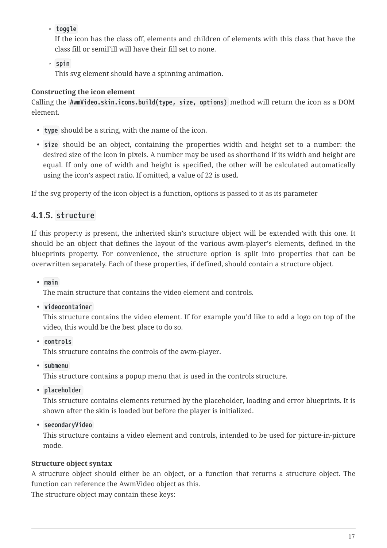◦ **toggle**

If the icon has the class off, elements and children of elements with this class that have the class fill or semiFill will have their fill set to none.

◦ **spin**

This svg element should have a spinning animation.

#### **Constructing the icon element**

Calling the **AwmVideo.skin.icons.build(type, size, options)** method will return the icon as a DOM element.

- **type** should be a string, with the name of the icon.
- **size** should be an object, containing the properties width and height set to a number: the desired size of the icon in pixels. A number may be used as shorthand if its width and height are equal. If only one of width and height is specified, the other will be calculated automatically using the icon's aspect ratio. If omitted, a value of 22 is used.

If the svg property of the icon object is a function, options is passed to it as its parameter

### <span id="page-19-0"></span>**4.1.5. structure**

If this property is present, the inherited skin's structure object will be extended with this one. It should be an object that defines the layout of the various awm-player's elements, defined in the blueprints property. For convenience, the structure option is split into properties that can be overwritten separately. Each of these properties, if defined, should contain a structure object.

• **main**

The main structure that contains the video element and controls.

• **videocontainer**

This structure contains the video element. If for example you'd like to add a logo on top of the video, this would be the best place to do so.

• **controls**

This structure contains the controls of the awm-player.

• **submenu**

This structure contains a popup menu that is used in the controls structure.

• **placeholder**

This structure contains elements returned by the placeholder, loading and error blueprints. It is shown after the skin is loaded but before the player is initialized.

• **secondaryVideo**

This structure contains a video element and controls, intended to be used for picture-in-picture mode.

#### **Structure object syntax**

A structure object should either be an object, or a function that returns a structure object. The function can reference the AwmVideo object as this.

The structure object may contain these keys: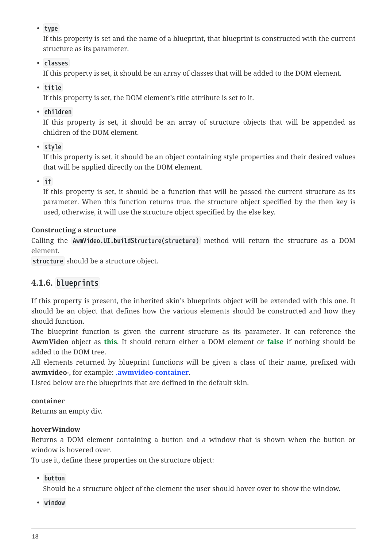• **type**

If this property is set and the name of a blueprint, that blueprint is constructed with the current structure as its parameter.

• **classes**

If this property is set, it should be an array of classes that will be added to the DOM element.

• **title**

If this property is set, the DOM element's title attribute is set to it.

• **children**

If this property is set, it should be an array of structure objects that will be appended as children of the DOM element.

• **style**

If this property is set, it should be an object containing style properties and their desired values that will be applied directly on the DOM element.

• **if**

If this property is set, it should be a function that will be passed the current structure as its parameter. When this function returns true, the structure object specified by the then key is used, otherwise, it will use the structure object specified by the else key.

### **Constructing a structure**

Calling the **AwmVideo.UI.buildStructure(structure)** method will return the structure as a DOM element.

**structure** should be a structure object.

## <span id="page-20-0"></span>**4.1.6. blueprints**

If this property is present, the inherited skin's blueprints object will be extended with this one. It should be an object that defines how the various elements should be constructed and how they should function.

The blueprint function is given the current structure as its parameter. It can reference the **AwmVideo** object as **this**. It should return either a DOM element or **false** if nothing should be added to the DOM tree.

All elements returned by blueprint functions will be given a class of their name, prefixed with **awmvideo-**, for example: **.awmvideo-container**.

Listed below are the blueprints that are defined in the default skin.

### **container**

Returns an empty div.

#### **hoverWindow**

Returns a DOM element containing a button and a window that is shown when the button or window is hovered over.

To use it, define these properties on the structure object:

• **button**

Should be a structure object of the element the user should hover over to show the window.

• **window**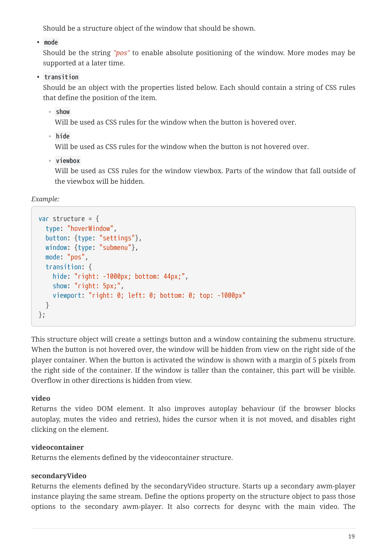Should be a structure object of the window that should be shown.

• **mode**

Should be the string *"pos"* to enable absolute positioning of the window. More modes may be supported at a later time.

• **transition**

Should be an object with the properties listed below. Each should contain a string of CSS rules that define the position of the item.

◦ **show**

Will be used as CSS rules for the window when the button is hovered over.

◦ **hide**

Will be used as CSS rules for the window when the button is not hovered over.

◦ **viewbox**

Will be used as CSS rules for the window viewbox. Parts of the window that fall outside of the viewbox will be hidden.

*Example:*

```
var structure = \{  type: "hoverWindow",
    button: {type: "settings"},
    window: {type: "submenu"},
    mode: "pos",
    transition: {
      hide: "right: -1000px; bottom: 44px;",
      show: "right: 5px;",
      viewport: "right: 0; left: 0; bottom: 0; top: -1000px"
    }
};
```
This structure object will create a settings button and a window containing the submenu structure. When the button is not hovered over, the window will be hidden from view on the right side of the player container. When the button is activated the window is shown with a margin of 5 pixels from the right side of the container. If the window is taller than the container, this part will be visible. Overflow in other directions is hidden from view.

### **video**

Returns the video DOM element. It also improves autoplay behaviour (if the browser blocks autoplay, mutes the video and retries), hides the cursor when it is not moved, and disables right clicking on the element.

### **videocontainer**

Returns the elements defined by the videocontainer structure.

#### **secondaryVideo**

Returns the elements defined by the secondaryVideo structure. Starts up a secondary awm-player instance playing the same stream. Define the options property on the structure object to pass those options to the secondary awm-player. It also corrects for desync with the main video. The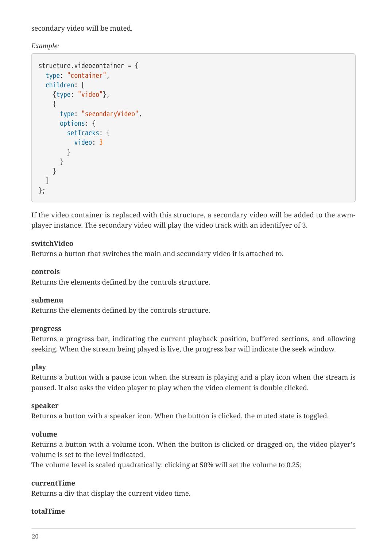secondary video will be muted.

*Example:*

```
structure.videocontainer = {
    type: "container",
    children: [
      {type: "video"},
      {
         type: "secondaryVideo",
         options: {
           setTracks: {
              video: 3
           }
         }
       }
    ]
};
```
If the video container is replaced with this structure, a secondary video will be added to the awmplayer instance. The secondary video will play the video track with an identifyer of 3.

#### **switchVideo**

Returns a button that switches the main and secundary video it is attached to.

#### **controls**

Returns the elements defined by the controls structure.

#### **submenu**

Returns the elements defined by the controls structure.

#### **progress**

Returns a progress bar, indicating the current playback position, buffered sections, and allowing seeking. When the stream being played is live, the progress bar will indicate the seek window.

#### **play**

Returns a button with a pause icon when the stream is playing and a play icon when the stream is paused. It also asks the video player to play when the video element is double clicked.

#### **speaker**

Returns a button with a speaker icon. When the button is clicked, the muted state is toggled.

#### **volume**

Returns a button with a volume icon. When the button is clicked or dragged on, the video player's volume is set to the level indicated.

The volume level is scaled quadratically: clicking at 50% will set the volume to 0.25;

#### **currentTime**

Returns a div that display the current video time.

#### **totalTime**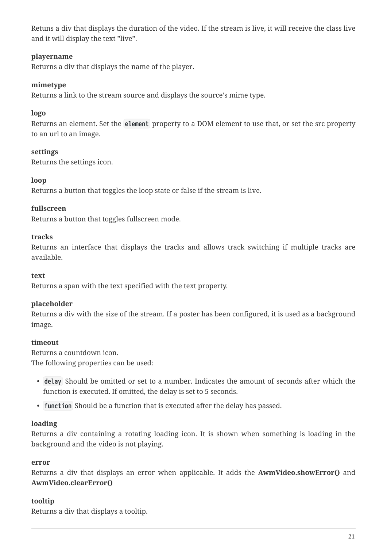Retuns a div that displays the duration of the video. If the stream is live, it will receive the class live and it will display the text "live".

#### **playername**

Returns a div that displays the name of the player.

#### **mimetype**

Returns a link to the stream source and displays the source's mime type.

#### **logo**

Returns an element. Set the **element** property to a DOM element to use that, or set the src property to an url to an image.

#### **settings**

Returns the settings icon.

#### **loop**

Returns a button that toggles the loop state or false if the stream is live.

#### **fullscreen**

Returns a button that toggles fullscreen mode.

#### **tracks**

Returns an interface that displays the tracks and allows track switching if multiple tracks are available.

#### **text**

Returns a span with the text specified with the text property.

#### **placeholder**

Returns a div with the size of the stream. If a poster has been configured, it is used as a background image.

#### **timeout**

Returns a countdown icon. The following properties can be used:

- **delay** Should be omitted or set to a number. Indicates the amount of seconds after which the function is executed. If omitted, the delay is set to 5 seconds.
- **function** Should be a function that is executed after the delay has passed.

#### **loading**

Returns a div containing a rotating loading icon. It is shown when something is loading in the background and the video is not playing.

#### **error**

Returns a div that displays an error when applicable. It adds the **AwmVideo.showError()** and **AwmVideo.clearError()**

#### **tooltip**

Returns a div that displays a tooltip.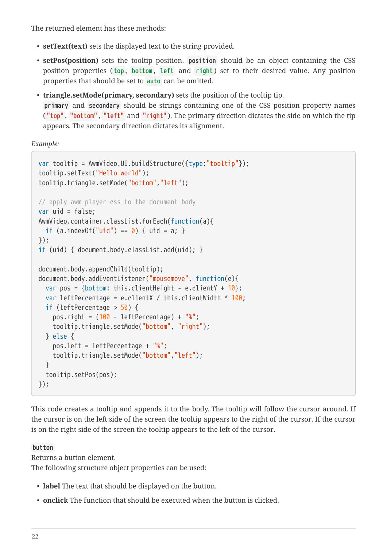The returned element has these methods:

- **setText(text)** sets the displayed text to the string provided.
- **setPos(position)** sets the tooltip position. **position** should be an object containing the CSS position properties (top, bottom, left and right) set to their desired value. Any position properties that should be set to **auto** can be omitted.
- **triangle.setMode(primary, secondary)** sets the position of the tooltip tip. **primary** and **secondary** should be strings containing one of the CSS position property names ( **"top"** , **"bottom"** , **"left"** and **"right"** ). The primary direction dictates the side on which the tip appears. The secondary direction dictates its alignment.

*Example:*

```
var tooltip = AwmVideo.UI.buildStructure({type:"tooltip"});
tooltip.setText("Hello world");
tooltip.triangle.setMode("bottom","left");
// apply awm player css to the document body
var uid = false;
AwmVideo.container.classList.forEach(function(a){
  if (a.\text{indexOf("uid") == 0) { uit = a; }});
if (uid) { document.body.classList.add(uid); }
document.body.appendChild(tooltip);
document.body.addEventListener("mousemove", function(e){
  var pos = {bottom: this.clientHeight - e.clientY + 10};
    var leftPercentage = e.clientX / this.clientWidth * 100;
    if (leftPercentage > 50) {
    pos.right = (100 - leftPercentage) + "%";  tooltip.triangle.setMode("bottom", "right");
    } else {
      pos.left = leftPercentage + "%";
      tooltip.triangle.setMode("bottom","left");
    }
    tooltip.setPos(pos);
});
```
This code creates a tooltip and appends it to the body. The tooltip will follow the cursor around. If the cursor is on the left side of the screen the tooltip appears to the right of the cursor. If the cursor is on the right side of the screen the tooltip appears to the left of the cursor.

#### **button**

Returns a button element.

The following structure object properties can be used:

- **label** The text that should be displayed on the button.
- **onclick** The function that should be executed when the button is clicked.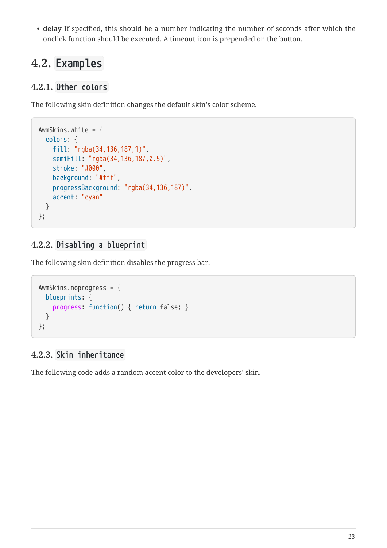• **delay** If specified, this should be a number indicating the number of seconds after which the onclick function should be executed. A timeout icon is prepended on the button.

# <span id="page-25-0"></span>**4.2. Examples**

### <span id="page-25-1"></span>**4.2.1. Other colors**

The following skin definition changes the default skin's color scheme.

```
AwmSkins.white = \{  colors: {
      fill: "rgba(34,136,187,1)",
      semiFill: "rgba(34,136,187,0.5)",
      stroke: "#000",
      background: "#fff",
      progressBackground: "rgba(34,136,187)",
      accent: "cyan"
    }
};
```
### <span id="page-25-2"></span>**4.2.2. Disabling a blueprint**

The following skin definition disables the progress bar.

```
AwmSkins.noprogress = {
    blueprints: {
      progress: function() { return false; }
    }
};
```
## <span id="page-25-3"></span>**4.2.3. Skin inheritance**

The following code adds a random accent color to the developers' skin.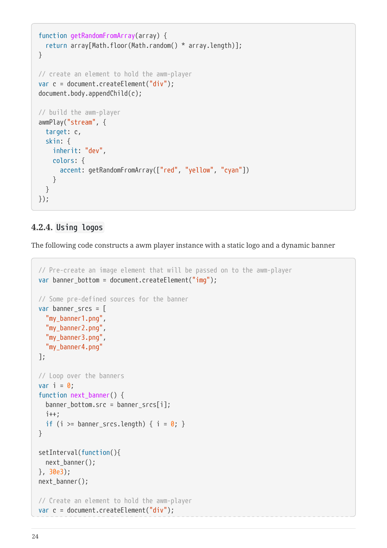```
function getRandomFromArray(array) {
    return array[Math.floor(Math.random() * array.length)];
}
// create an element to hold the awm-player
var c = document.createElement("div");
document.body.appendChild(c);
// build the awm-player
awmPlay("stream", {
    target: c,
    skin: {
      inherit: "dev",
      colors: {
        accent: getRandomFromArray(["red", "yellow", "cyan"])
      }
    }
});
```
#### <span id="page-26-0"></span>**4.2.4. Using logos**

The following code constructs a awm player instance with a static logo and a dynamic banner

```
// Pre-create an image element that will be passed on to the awm-player
var banner_bottom = document.createElement("img");
// Some pre-defined sources for the banner
var banner_srcs = [
    "my_banner1.png",
    "my_banner2.png",
    "my_banner3.png",
    "my_banner4.png"
];
// Loop over the banners
var i = 0;
function next_banner() {
  banner bottom.src = banner srcs[i];
    i++;
  if (i >= banner srcs.length) { i = 0; }
}
setInterval(function(){
  next banner();
}, 30e3);
next banner();
// Create an element to hold the awm-player
var c = document.createElement("div");
```